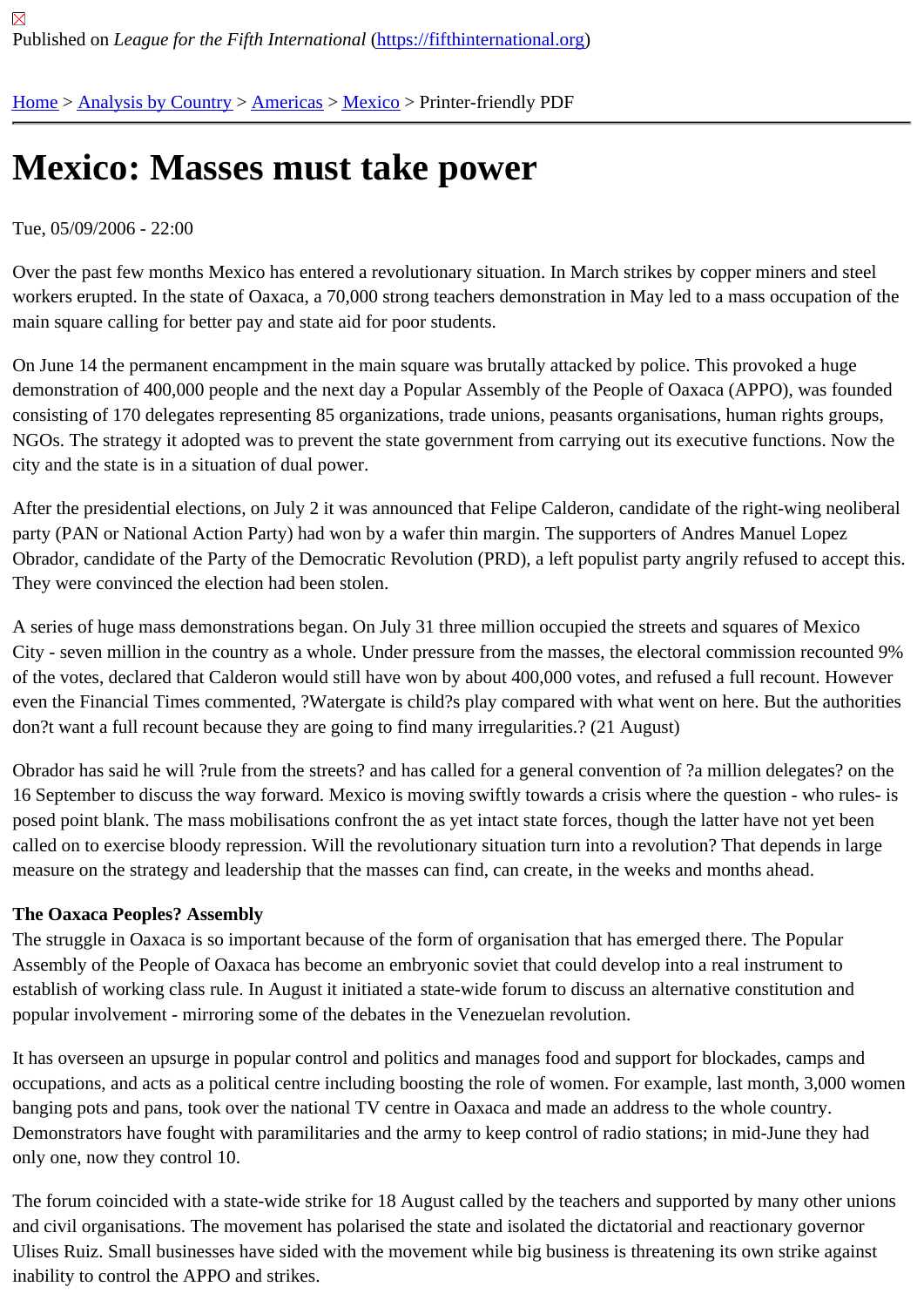# [Me](https://fifthinternational.org/)[xico: Mass](https://fifthinternational.org/category/1)[es mu](https://fifthinternational.org/category/1/56)[st ta](https://fifthinternational.org/category/1/56/78)ke power

## Tue, 05/09/2006 - 22:00

Over the past few months Mexico has entered a revolutionary situation. In March strikes by copper miners and ste workers erupted. In the state of Oaxaca, a 70,000 strong teachers demonstration in May led to a mass occupation main square calling for better pay and state aid for poor students.

On June 14 the permanent encampment in the main square was brutally attacked by police. This provoked a huge demonstration of 400,000 people and the next day a Popular Assembly of the People of Oaxaca (APPO), was four consisting of 170 delegates representing 85 organizations, trade unions, peasants organisations, human rights gro NGOs. The strategy it adopted was to prevent the state government from carrying out its executive functions. Now city and the state is in a situation of dual power.

After the presidential elections, on July 2 it was announced that Felipe Calderon, candidate of the right-wing neolit party (PAN or National Action Party) had won by a wafer thin margin. The supporters of Andres Manuel Lopez Obrador, candidate of the Party of the Democratic Revolution (PRD), a left populist party angrily refused to accept They were convinced the election had been stolen.

A series of huge mass demonstrations began. On July 31 three million occupied the streets and squares of Mexico City - seven million in the country as a whole. Under pressure from the masses, the electoral commission recounte of the votes, declared that Calderon would still have won by about 400,000 votes, and refused a full recount. Howe even the Financial Times commented, ?Watergate is child?s play compared with what went on here. But the author don?t want a full recount because they are going to find many irregularities.? (21 August)

Obrador has said he will ?rule from the streets? and has called for a general convention of ?a million delegates? on the 16 September to discuss the way forward. Mexico is moving swiftly towards a crisis where the question - who rules posed point blank. The mass mobilisations confront the as yet intact state forces, though the latter have not yet be called on to exercise bloody repression. Will the revolutionary situation turn into a revolution? That depends in larg measure on the strategy and leadership that the masses can find, can create, in the weeks and months ahead.

## The Oaxaca Peoples? Assembly

The struggle in Oaxaca is so important because of the form of organisation that has emerged there. The Popular Assembly of the People of Oaxaca has become an embryonic soviet that could develop into a real instrument to establish of working class rule. In August it initiated a state-wide forum to discuss an alternative constitution and popular involvement - mirroring some of the debates in the Venezuelan revolution.

It has overseen an upsurge in popular control and politics and manages food and support for blockades, camps ar occupations, and acts as a political centre including boosting the role of women. For example, last month, 3,000 w banging pots and pans, took over the national TV centre in Oaxaca and made an address to the whole country. Demonstrators have fought with paramilitaries and the army to keep control of radio stations; in mid-June they had only one, now they control 10.

The forum coincided with a state-wide strike for 18 August called by the teachers and supported by many other un and civil organisations. The movement has polarised the state and isolated the dictatorial and reactionary governo Ulises Ruiz. Small businesses have sided with the movement while big business is threatening its own strike agair inability to control the APPO and strikes.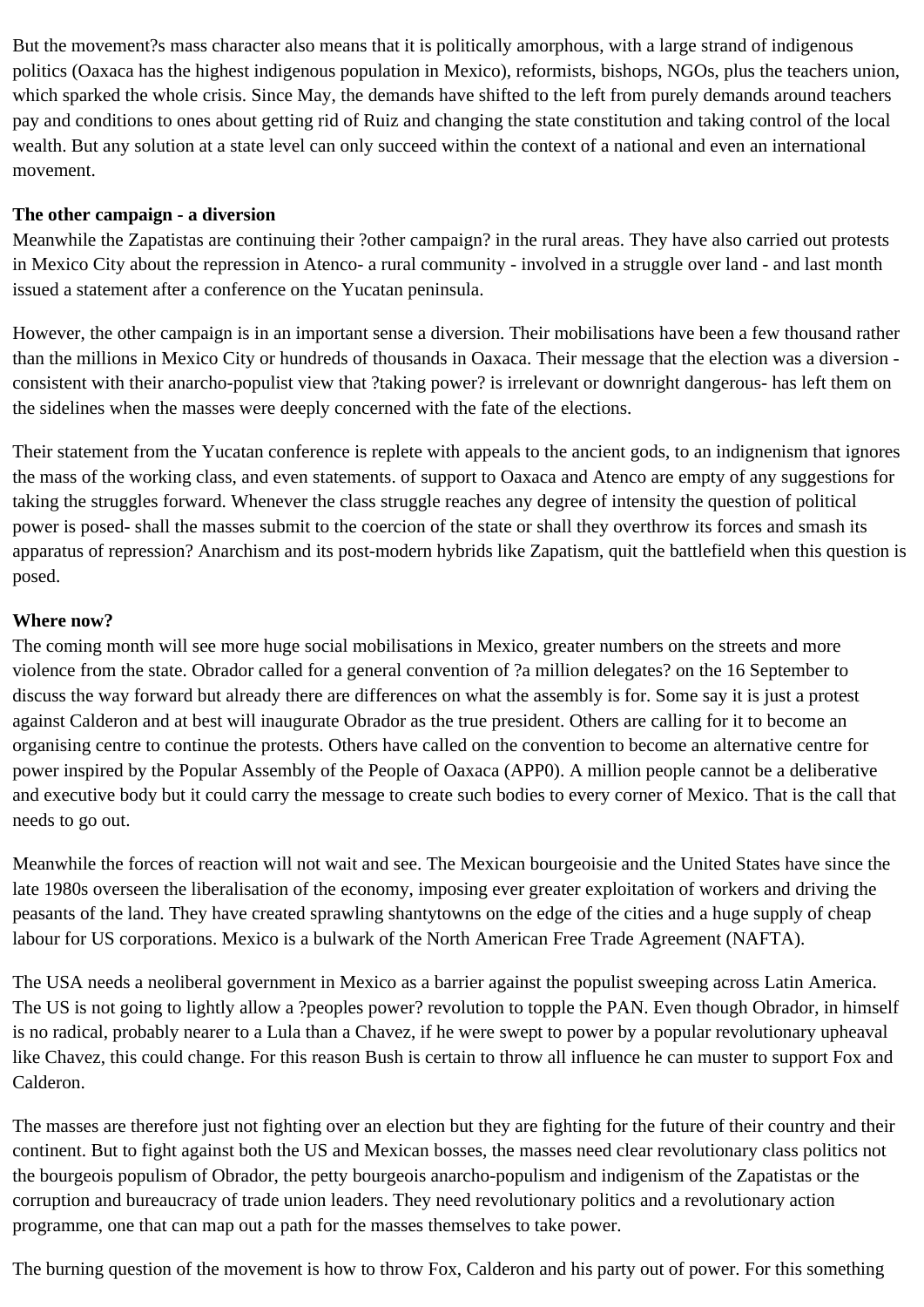But the movement?s mass character also means that it is politically amorphous, with a large strand of indigenous politics (Oaxaca has the highest indigenous population in Mexico), reformists, bishops, NGOs, plus the teachers union, which sparked the whole crisis. Since May, the demands have shifted to the left from purely demands around teachers pay and conditions to ones about getting rid of Ruiz and changing the state constitution and taking control of the local wealth. But any solution at a state level can only succeed within the context of a national and even an international movement.

#### **The other campaign - a diversion**

Meanwhile the Zapatistas are continuing their ?other campaign? in the rural areas. They have also carried out protests in Mexico City about the repression in Atenco- a rural community - involved in a struggle over land - and last month issued a statement after a conference on the Yucatan peninsula.

However, the other campaign is in an important sense a diversion. Their mobilisations have been a few thousand rather than the millions in Mexico City or hundreds of thousands in Oaxaca. Their message that the election was a diversion consistent with their anarcho-populist view that ?taking power? is irrelevant or downright dangerous- has left them on the sidelines when the masses were deeply concerned with the fate of the elections.

Their statement from the Yucatan conference is replete with appeals to the ancient gods, to an indignenism that ignores the mass of the working class, and even statements. of support to Oaxaca and Atenco are empty of any suggestions for taking the struggles forward. Whenever the class struggle reaches any degree of intensity the question of political power is posed- shall the masses submit to the coercion of the state or shall they overthrow its forces and smash its apparatus of repression? Anarchism and its post-modern hybrids like Zapatism, quit the battlefield when this question is posed.

#### **Where now?**

The coming month will see more huge social mobilisations in Mexico, greater numbers on the streets and more violence from the state. Obrador called for a general convention of ?a million delegates? on the 16 September to discuss the way forward but already there are differences on what the assembly is for. Some say it is just a protest against Calderon and at best will inaugurate Obrador as the true president. Others are calling for it to become an organising centre to continue the protests. Others have called on the convention to become an alternative centre for power inspired by the Popular Assembly of the People of Oaxaca (APP0). A million people cannot be a deliberative and executive body but it could carry the message to create such bodies to every corner of Mexico. That is the call that needs to go out.

Meanwhile the forces of reaction will not wait and see. The Mexican bourgeoisie and the United States have since the late 1980s overseen the liberalisation of the economy, imposing ever greater exploitation of workers and driving the peasants of the land. They have created sprawling shantytowns on the edge of the cities and a huge supply of cheap labour for US corporations. Mexico is a bulwark of the North American Free Trade Agreement (NAFTA).

The USA needs a neoliberal government in Mexico as a barrier against the populist sweeping across Latin America. The US is not going to lightly allow a ?peoples power? revolution to topple the PAN. Even though Obrador, in himself is no radical, probably nearer to a Lula than a Chavez, if he were swept to power by a popular revolutionary upheaval like Chavez, this could change. For this reason Bush is certain to throw all influence he can muster to support Fox and Calderon.

The masses are therefore just not fighting over an election but they are fighting for the future of their country and their continent. But to fight against both the US and Mexican bosses, the masses need clear revolutionary class politics not the bourgeois populism of Obrador, the petty bourgeois anarcho-populism and indigenism of the Zapatistas or the corruption and bureaucracy of trade union leaders. They need revolutionary politics and a revolutionary action programme, one that can map out a path for the masses themselves to take power.

The burning question of the movement is how to throw Fox, Calderon and his party out of power. For this something